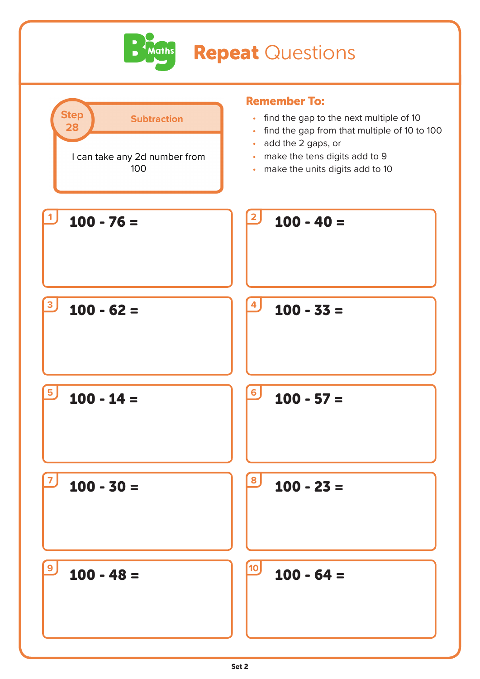

## **Repeat Questions**

| <b>Step</b><br><b>Subtraction</b><br>28<br>I can take any 2d number from<br>100 | <b>Remember To:</b><br>find the gap to the next multiple of 10<br>$\bullet$<br>find the gap from that multiple of 10 to 100<br>$\bullet$<br>add the 2 gaps, or<br>$\bullet$<br>make the tens digits add to 9<br>$\bullet$<br>make the units digits add to 10<br>$\bullet$ |
|---------------------------------------------------------------------------------|---------------------------------------------------------------------------------------------------------------------------------------------------------------------------------------------------------------------------------------------------------------------------|
| $100 - 76 =$                                                                    | $\mathbf{2}$<br>$100 - 40 =$                                                                                                                                                                                                                                              |
| $100 - 62 =$                                                                    | 4<br>$100 - 33 =$                                                                                                                                                                                                                                                         |
| $100 - 14 =$                                                                    | 6 <sup>1</sup><br>$100 - 57 =$                                                                                                                                                                                                                                            |
| $100 - 30 =$                                                                    | 8<br>$100 - 23 =$                                                                                                                                                                                                                                                         |
| $100 - 48 =$                                                                    | <b>10</b><br>$100 - 64 =$                                                                                                                                                                                                                                                 |